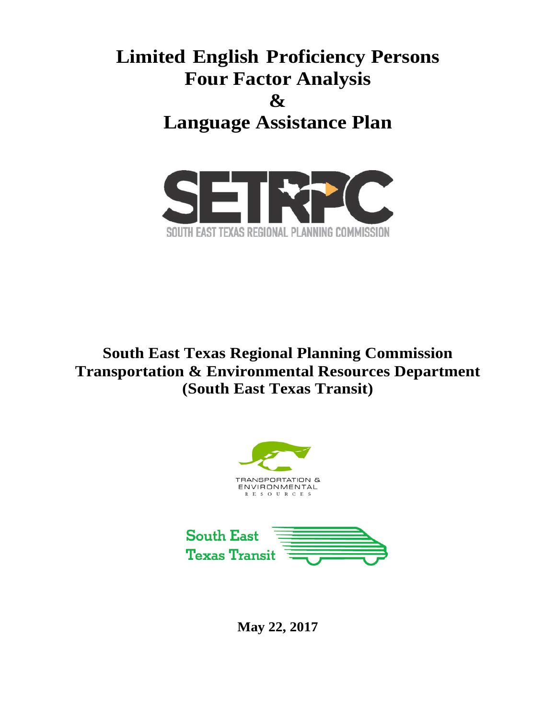# **Limited English Proficiency Persons Four Factor Analysis & Language Assistance Plan**



**South East Texas Regional Planning Commission Transportation & Environmental Resources Department (South East Texas Transit)**





**May 22, 2017**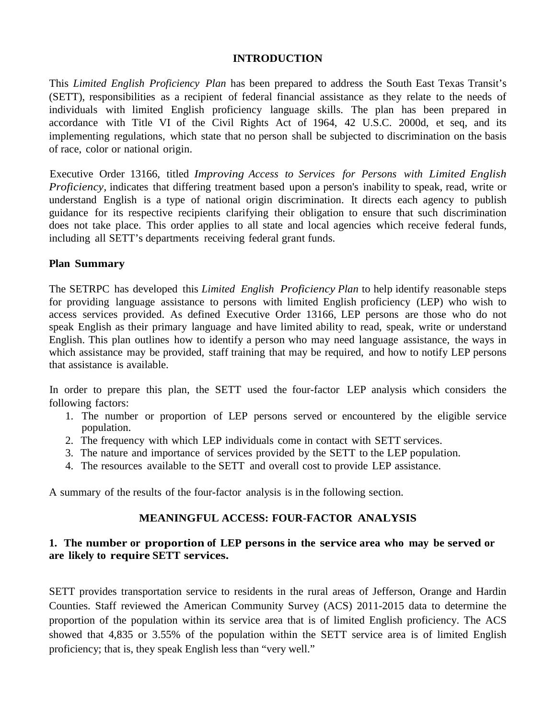#### **INTRODUCTION**

This *Limited English Proficiency Plan* has been prepared to address the South East Texas Transit's (SETT), responsibilities as a recipient of federal financial assistance as they relate to the needs of individuals with limited English proficiency language skills. The plan has been prepared in accordance with Title VI of the Civil Rights Act of 1964, 42 U.S.C. 2000d, et seq, and its implementing regulations, which state that no person shall be subjected to discrimination on the basis of race, color or national origin.

Executive Order 13166, titled *Improving Access to Services for Persons with Limited English Proficiency*, indicates that differing treatment based upon a person's inability to speak, read, write or understand English is a type of national origin discrimination. It directs each agency to publish guidance for its respective recipients clarifying their obligation to ensure that such discrimination does not take place. This order applies to all state and local agencies which receive federal funds, including all SETT's departments receiving federal grant funds.

#### **Plan Summary**

The SETRPC has developed this *Limited English Proficiency Plan* to help identify reasonable steps for providing language assistance to persons with limited English proficiency (LEP) who wish to access services provided. As defined Executive Order 13166, LEP persons are those who do not speak English as their primary language and have limited ability to read, speak, write or understand English. This plan outlines how to identify a person who may need language assistance, the ways in which assistance may be provided, staff training that may be required, and how to notify LEP persons that assistance is available.

In order to prepare this plan, the SETT used the four-factor LEP analysis which considers the following factors:

- 1. The number or proportion of LEP persons served or encountered by the eligible service population.
- 2. The frequency with which LEP individuals come in contact with SETT services.
- 3. The nature and importance of services provided by the SETT to the LEP population.
- 4. The resources available to the SETT and overall cost to provide LEP assistance.

A summary of the results of the four-factor analysis is in the following section.

#### **MEANINGFUL ACCESS: FOUR-FACTOR ANALYSIS**

#### **1. The number or proportion of LEP persons in the service area who may be served or are likely to require SETT services.**

SETT provides transportation service to residents in the rural areas of Jefferson, Orange and Hardin Counties. Staff reviewed the American Community Survey (ACS) 2011-2015 data to determine the proportion of the population within its service area that is of limited English proficiency. The ACS showed that 4,835 or 3.55% of the population within the SETT service area is of limited English proficiency; that is, they speak English less than "very well."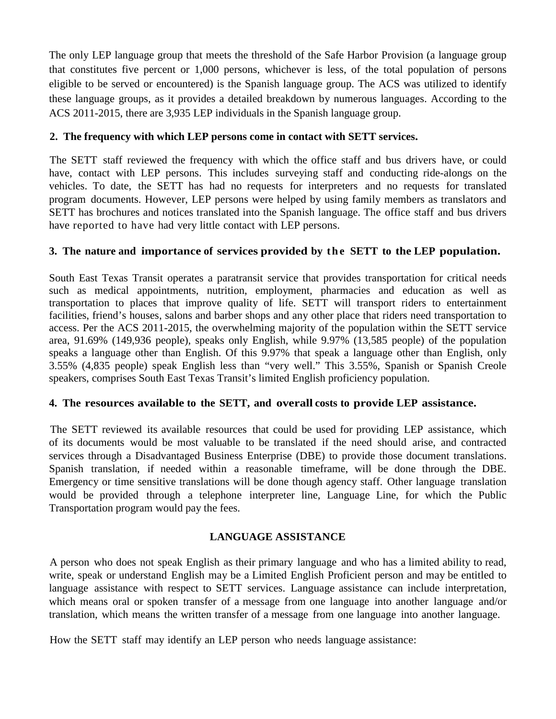The only LEP language group that meets the threshold of the Safe Harbor Provision (a language group that constitutes five percent or 1,000 persons, whichever is less, of the total population of persons eligible to be served or encountered) is the Spanish language group. The ACS was utilized to identify these language groups, as it provides a detailed breakdown by numerous languages. According to the ACS 2011-2015, there are 3,935 LEP individuals in the Spanish language group.

# **2. The frequency with which LEP persons come in contact with SETT services.**

The SETT staff reviewed the frequency with which the office staff and bus drivers have, or could have, contact with LEP persons. This includes surveying staff and conducting ride-alongs on the vehicles. To date, the SETT has had no requests for interpreters and no requests for translated program documents. However, LEP persons were helped by using family members as translators and SETT has brochures and notices translated into the Spanish language. The office staff and bus drivers have reported to have had very little contact with LEP persons.

# **3. The nature and importance of services provided by the SETT to the LEP population.**

South East Texas Transit operates a paratransit service that provides transportation for critical needs such as medical appointments, nutrition, employment, pharmacies and education as well as transportation to places that improve quality of life. SETT will transport riders to entertainment facilities, friend's houses, salons and barber shops and any other place that riders need transportation to access. Per the ACS 2011-2015, the overwhelming majority of the population within the SETT service area, 91.69% (149,936 people), speaks only English, while 9.97% (13,585 people) of the population speaks a language other than English. Of this 9.97% that speak a language other than English, only 3.55% (4,835 people) speak English less than "very well." This 3.55%, Spanish or Spanish Creole speakers, comprises South East Texas Transit's limited English proficiency population.

# **4. The resources available to the SETT, and overall costs to provide LEP assistance.**

The SETT reviewed its available resources that could be used for providing LEP assistance, which of its documents would be most valuable to be translated if the need should arise, and contracted services through a Disadvantaged Business Enterprise (DBE) to provide those document translations. Spanish translation, if needed within a reasonable timeframe, will be done through the DBE. Emergency or time sensitive translations will be done though agency staff. Other language translation would be provided through a telephone interpreter line, Language Line, for which the Public Transportation program would pay the fees.

# **LANGUAGE ASSISTANCE**

A person who does not speak English as their primary language and who has a limited ability to read, write, speak or understand English may be a Limited English Proficient person and may be entitled to language assistance with respect to SETT services. Language assistance can include interpretation, which means oral or spoken transfer of a message from one language into another language and/or translation, which means the written transfer of a message from one language into another language.

How the SETT staff may identify an LEP person who needs language assistance: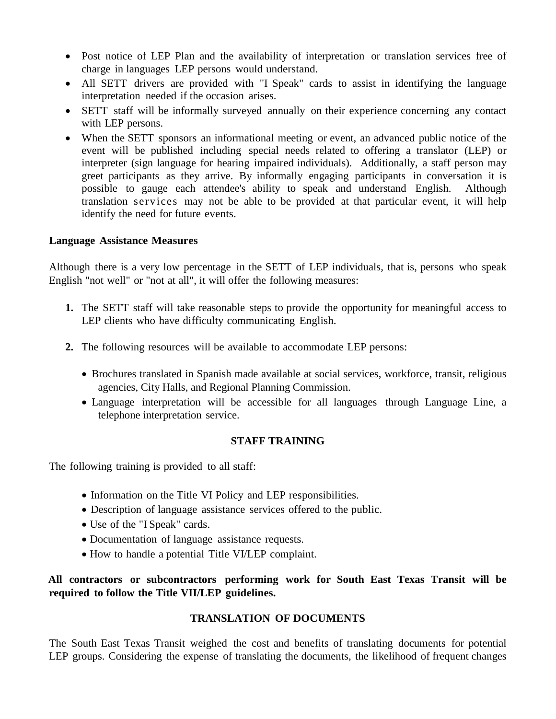- Post notice of LEP Plan and the availability of interpretation or translation services free of charge in languages LEP persons would understand.
- All SETT drivers are provided with "I Speak" cards to assist in identifying the language interpretation needed if the occasion arises.
- SETT staff will be informally surveyed annually on their experience concerning any contact with LEP persons.
- When the SETT sponsors an informational meeting or event, an advanced public notice of the event will be published including special needs related to offering a translator (LEP) or interpreter (sign language for hearing impaired individuals). Additionally, a staff person may greet participants as they arrive. By informally engaging participants in conversation it is possible to gauge each attendee's ability to speak and understand English. Although translation services may not be able to be provided at that particular event, it will help identify the need for future events.

#### **Language Assistance Measures**

Although there is a very low percentage in the SETT of LEP individuals, that is, persons who speak English "not well" or "not at all", it will offer the following measures:

- **1.** The SETT staff will take reasonable steps to provide the opportunity for meaningful access to LEP clients who have difficulty communicating English.
- **2.** The following resources will be available to accommodate LEP persons:
	- Brochures translated in Spanish made available at social services, workforce, transit, religious agencies, City Halls, and Regional Planning Commission.
	- Language interpretation will be accessible for all languages through Language Line, a telephone interpretation service.

#### **STAFF TRAINING**

The following training is provided to all staff:

- Information on the Title VI Policy and LEP responsibilities.
- Description of language assistance services offered to the public.
- Use of the "I Speak" cards.
- Documentation of language assistance requests.
- How to handle a potential Title VI/LEP complaint.

# **All contractors or subcontractors performing work for South East Texas Transit will be required to follow the Title VII/LEP guidelines.**

#### **TRANSLATION OF DOCUMENTS**

The South East Texas Transit weighed the cost and benefits of translating documents for potential LEP groups. Considering the expense of translating the documents, the likelihood of frequent changes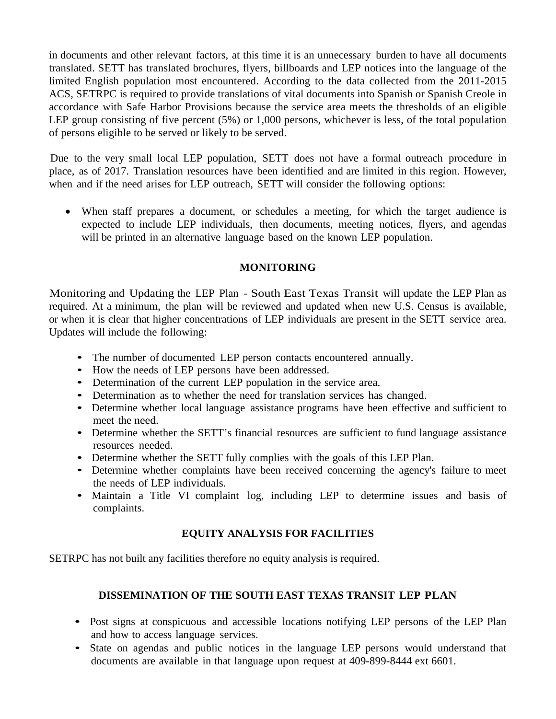in documents and other relevant factors, at this time it is an unnecessary burden to have all documents translated. SETT has translated brochures, flyers, billboards and LEP notices into the language of the limited English population most encountered. According to the data collected from the 2011-2015 ACS, SETRPC is required to provide translations of vital documents into Spanish or Spanish Creole in accordance with Safe Harbor Provisions because the service area meets the thresholds of an eligible LEP group consisting of five percent (5%) or 1,000 persons, whichever is less, of the total population of persons eligible to be served or likely to be served.

Due to the very small local LEP population, SETT does not have a formal outreach procedure in place, as of 2017. Translation resources have been identified and are limited in this region. However, when and if the need arises for LEP outreach, SETT will consider the following options:

• When staff prepares a document, or schedules a meeting, for which the target audience is expected to include LEP individuals, then documents, meeting notices, flyers, and agendas will be printed in an alternative language based on the known LEP population.

# **MONITORING**

Monitoring and Updating the LEP Plan - South East Texas Transit will update the LEP Plan as required. At a minimum, the plan will be reviewed and updated when new U.S. Census is available, or when it is clear that higher concentrations of LEP individuals are present in the SETT service area. Updates will include the following:

- The number of documented LEP person contacts encountered annually.
- How the needs of LEP persons have been addressed.
- Determination of the current LEP population in the service area.
- Determination as to whether the need for translation services has changed.
- Determine whether local language assistance programs have been effective and sufficient to meet the need.
- Determine whether the SETT's financial resources are sufficient to fund language assistance resources needed.
- Determine whether the SETT fully complies with the goals of this LEP Plan.
- Determine whether complaints have been received concerning the agency's failure to meet the needs of LEP individuals.
- Maintain <sup>a</sup> Title VI complaint log, including LEP to determine issues and basis of complaints.

# **EQUITY ANALYSIS FOR FACILITIES**

SETRPC has not built any facilities therefore no equity analysis is required.

# **DISSEMINATION OF THE SOUTH EAST TEXAS TRANSIT LEP PLAN**

- Post signs at conspicuous and accessible locations notifying LEP persons of the LEP Plan and how to access language services.
- State on agendas and public notices in the language LEP persons would understand that documents are available in that language upon request at 409-899-8444 ext 6601.